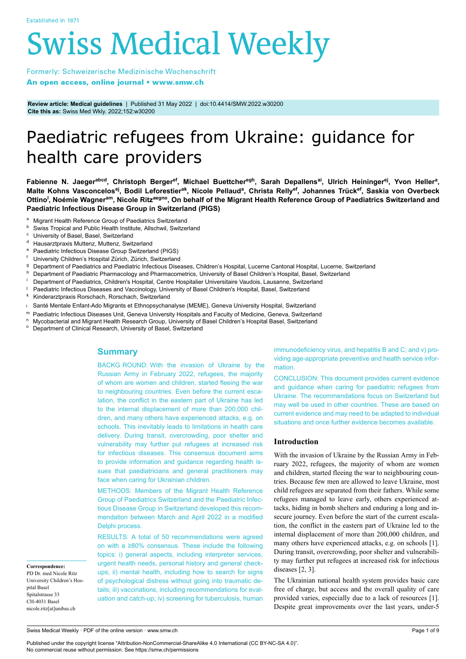# **Swiss Medical Weekly**

Formerly: Schweizerische Medizinische Wochenschrift An open access, online journal • www.smw.ch

**Review article: Medical guidelines** | Published 31 May 2022 | doi:10.4414/SMW.2022.w30200 **Cite this as:** Swiss Med Wkly. 2022;152:w30200

# Paediatric refugees from Ukraine: guidance for health care providers

Fabienne N. Jaeger<sup>abcd</sup>, Christoph Berger<sup>ef</sup>, Michael Buettcher<sup>egh</sup>, Sarah Depallens<sup>ai</sup>, Ulrich Heininger<sup>ej</sup>, Yvon Heller<sup>a</sup>, Malte Kohns Vasconcelos<sup>ej</sup>, Bodil Leforestier<sup>ak</sup>, Nicole Pellaud<sup>a</sup>, Christa Relly<sup>ef</sup>, Johannes Trück<sup>ef</sup>, Saskia von Overbeck Ottino<sup>l</sup>, Noémie Wagner<sup>am</sup>, Nicole Ritz<sup>aegno</sup>, On behalf of the Migrant Health Reference Group of Paediatrics Switzerland and **Paediatric Infectious Disease Group in Switzerland (PIGS)**

- <sup>a</sup> Migrant Health Reference Group of Paediatrics Switzerland
- $b$  Swiss Tropical and Public Health Institute, Allschwil, Switzerland
- University of Basel, Basel, Switzerland
- <sup>d</sup> Hausarztpraxis Muttenz, Muttenz, Switzerland
- Paediatric Infectious Disease Group Switzerland (PIGS)
- University Children's Hospital Zürich, Zürich, Switzerland
- Department of Paediatrics and Paediatric Infectious Diseases, Children's Hospital, Lucerne Cantonal Hospital, Lucerne, Switzerland
- h Department of Paediatric Pharmacology and Pharmacometrics, University of Basel Children's Hospital, Basel, Switzerland
- <sup>i</sup> Department of Paediatrics, Children's Hospital, Centre Hospitalier Universitaire Vaudois, Lausanne, Switzerland
- Paediatric Infectious Diseases and Vaccinology, University of Basel Children's Hospital, Basel, Switzerland
- <sup>k</sup> Kinderarztpraxis Rorschach, Rorschach, Switzerland
- <sup>l</sup> Santé Mentale Enfant-Ado Migrants et Ethnopsychanalyse (MEME), Geneva University Hospital, Switzerland
- 
- m Paediatric Infectious Diseases Unit, Geneva University Hospitals and Faculty of Medicine, Geneva, Switzerland<br>R. Muochasterial and Migraet Hoslth Bassarsh Croup, University of Basel Children's Hospital Basel, Switzerland <sup>n</sup>Mycobacterial and Migrant Health Research Group, University of Basel Children's Hospital Basel, Switzerland
- Department of Clinical Research, University of Basel, Switzerland

# **Summary**

BACKG ROUND: With the invasion of Ukraine by the Russian Army in February 2022, refugees, the majority of whom are women and children, started fleeing the war to neighbouring countries. Even before the current escalation, the conflict in the eastern part of Ukraine has led to the internal displacement of more than 200,000 children, and many others have experienced attacks, e.g. on schools. This inevitably leads to limitations in health care delivery. During transit, overcrowding, poor shelter and vulnerability may further put refugees at increased risk for infectious diseases. This consensus document aims to provide information and guidance regarding health issues that paediatricians and general practitioners may face when caring for Ukrainian children.

METHODS: Members of the Migrant Health Reference Group of Paediatrics Switzerland and the Paediatric Infectious Disease Group in Switzerland developed this recommendation between March and April 2022 in a modified Delphi process.

RESULTS: A total of 50 recommendations were agreed on with a ≥80% consensus. These include the following topics: i) general aspects, including interpreter services, urgent health needs, personal history and general checkups; ii) mental health, including how to search for signs of psychological distress without going into traumatic details; iii) vaccinations, including recommendations for evaluation and catch-up; iv) screening for tuberculosis, human immunodeficiency virus, and hepatitis B and C; and v) providing age-appropriate preventive and health service information.

CONCLUSION: This document provides current evidence and guidance when caring for paediatric refugees from Ukraine. The recommendations focus on Switzerland but may well be used in other countries. These are based on current evidence and may need to be adapted to individual situations and once further evidence becomes available.

# **Introduction**

With the invasion of Ukraine by the Russian Army in February 2022, refugees, the majority of whom are women and children, started fleeing the war to neighbouring countries. Because few men are allowed to leave Ukraine, most child refugees are separated from their fathers. While some refugees managed to leave early, others experienced attacks, hiding in bomb shelters and enduring a long and insecure journey. Even before the start of the current escalation, the conflict in the eastern part of Ukraine led to the internal displacement of more than 200,000 children, and many others have experienced attacks, e.g. on schools [1]. During transit, overcrowding, poor shelter and vulnerability may further put refugees at increased risk for infectious diseases [2, 3].

The Ukrainian national health system provides basic care free of charge, but access and the overall quality of care provided varies, especially due to a lack of resources [1]. Despite great improvements over the last years, under-5

**Correspondence:** PD Dr. med Nicole Ritz University Children's Hospital Basel Spitalstrasse 33 CH-4031 Basel nicole.ritz[at]unibas.ch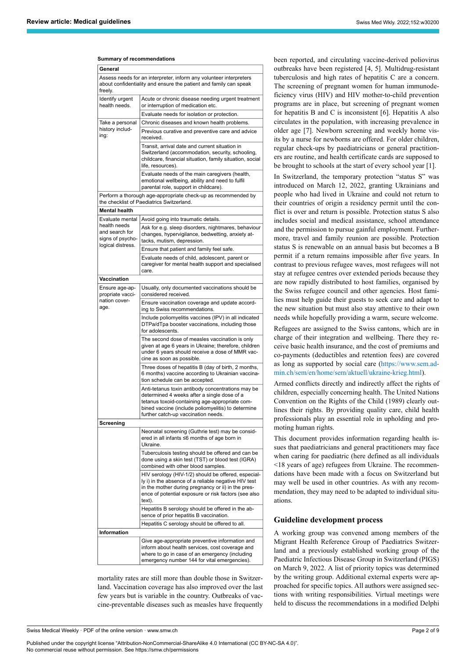#### **Summary of recommendations**

| General                                                                 |                                                                                                                                                                                                                                                 |  |  |
|-------------------------------------------------------------------------|-------------------------------------------------------------------------------------------------------------------------------------------------------------------------------------------------------------------------------------------------|--|--|
| freely.                                                                 | Assess needs for an interpreter, inform any volunteer interpreters<br>about confidentiality and ensure the patient and family can speak                                                                                                         |  |  |
| Identify urgent<br>health needs.                                        | Acute or chronic disease needing urgent treatment<br>or interruption of medication etc.                                                                                                                                                         |  |  |
|                                                                         | Evaluate needs for isolation or protection.                                                                                                                                                                                                     |  |  |
| Take a personal                                                         | Chronic diseases and known health problems.                                                                                                                                                                                                     |  |  |
| history includ-<br>ing:                                                 | Previous curative and preventive care and advice<br>received.                                                                                                                                                                                   |  |  |
|                                                                         | Transit, arrival date and current situation in<br>Switzerland (accommodation, security, schooling,<br>childcare, financial situation, family situation, social<br>life, resources).                                                             |  |  |
|                                                                         | Evaluate needs of the main caregivers (health,<br>emotional wellbeing, ability and need to fulfil<br>parental role, support in childcare).                                                                                                      |  |  |
|                                                                         | Perform a thorough age-appropriate check-up as recommended by<br>the checklist of Paediatrics Switzerland.                                                                                                                                      |  |  |
| <b>Mental health</b>                                                    |                                                                                                                                                                                                                                                 |  |  |
| Evaluate mental                                                         | Avoid going into traumatic details.                                                                                                                                                                                                             |  |  |
| health needs<br>and search for<br>signs of psycho-<br>logical distress. | Ask for e.g. sleep disorders, nightmares, behaviour<br>changes, hypervigilance, bedwetting, anxiety at-<br>tacks, mutism, depression.                                                                                                           |  |  |
|                                                                         | Ensure that patient and family feel safe.                                                                                                                                                                                                       |  |  |
|                                                                         | Evaluate needs of child, adolescent, parent or<br>caregiver for mental health support and specialised<br>care.                                                                                                                                  |  |  |
| Vaccination                                                             |                                                                                                                                                                                                                                                 |  |  |
| Ensure age-ap-<br>propriate vacci-<br>nation cover-                     | Usually, only documented vaccinations should be<br>considered received.                                                                                                                                                                         |  |  |
| age.                                                                    | Ensure vaccination coverage and update accord-<br>ing to Swiss recommendations.                                                                                                                                                                 |  |  |
|                                                                         | Include poliomyelitis vaccines (IPV) in all indicated<br>DTPa/dTpa booster vaccinations, including those<br>for adolescents.                                                                                                                    |  |  |
|                                                                         | The second dose of measles vaccination is only<br>given at age 6 years in Ukraine; therefore, children<br>under 6 years should receive a dose of MMR vac-<br>cine as soon as possible.                                                          |  |  |
|                                                                         | Three doses of hepatitis B (day of birth, 2 months,<br>6 months) vaccine according to Ukrainian vaccina-<br>tion schedule can be accepted.                                                                                                      |  |  |
|                                                                         | Anti-tetanus toxin antibody concentrations may be<br>determined 4 weeks after a single dose of a<br>tetanus toxoid-containing age-appropriate com-<br>bined vaccine (include poliomyelitis) to determine<br>further catch-up vaccination needs. |  |  |
| Screening                                                               |                                                                                                                                                                                                                                                 |  |  |
|                                                                         | Neonatal screening (Guthrie test) may be consid-<br>ered in all infants ≤6 months of age born in<br>Ukraine.                                                                                                                                    |  |  |
|                                                                         | Tuberculosis testing should be offered and can be<br>done using a skin test (TST) or blood test (IGRA)<br>combined with other blood samples.                                                                                                    |  |  |
|                                                                         | HIV serology (HIV-1/2) should be offered, especial-<br>ly i) in the absence of a reliable negative HIV test<br>in the mother during pregnancy or ii) in the pres-<br>ence of potential exposure or risk factors (see also<br>text).             |  |  |
|                                                                         | Hepatitis B serology should be offered in the ab-<br>sence of prior hepatitis B vaccination.                                                                                                                                                    |  |  |
|                                                                         | Hepatitis C serology should be offered to all.                                                                                                                                                                                                  |  |  |
| <b>Information</b>                                                      |                                                                                                                                                                                                                                                 |  |  |
|                                                                         | Give age-appropriate preventive information and<br>inform about health services, cost coverage and<br>where to go in case of an emergency (including                                                                                            |  |  |
|                                                                         | emergency number 144 for vital emergencies).                                                                                                                                                                                                    |  |  |

mortality rates are still more than double those in Switzerland. Vaccination coverage has also improved over the last few years but is variable in the country. Outbreaks of vaccine-preventable diseases such as measles have frequently been reported, and circulating vaccine-derived poliovirus outbreaks have been registered [4, 5]. Multidrug-resistant tuberculosis and high rates of hepatitis C are a concern. The screening of pregnant women for human immunodeficiency virus (HIV) and HIV mother-to-child prevention programs are in place, but screening of pregnant women for hepatitis B and C is inconsistent [6]. Hepatitis A also circulates in the population, with increasing prevalence in older age [7]. Newborn screening and weekly home visits by a nurse for newborns are offered. For older children, regular check-ups by paediatricians or general practitioners are routine, and health certificate cards are supposed to be brought to schools at the start of every school year [1].

In Switzerland, the temporary protection "status S" was introduced on March 12, 2022, granting Ukrainians and people who had lived in Ukraine and could not return to their countries of origin a residency permit until the conflict is over and return is possible. Protection status S also includes social and medical assistance, school attendance and the permission to pursue gainful employment. Furthermore, travel and family reunion are possible. Protection status S is renewable on an annual basis but becomes a B permit if a return remains impossible after five years. In contrast to previous refugee waves, most refugees will not stay at refugee centres over extended periods because they are now rapidly distributed to host families, organised by the Swiss refugee council and other agencies. Host families must help guide their guests to seek care and adapt to the new situation but must also stay attentive to their own needs while hopefully providing a warm, secure welcome.

Refugees are assigned to the Swiss cantons, which are in charge of their integration and wellbeing. There they receive basic health insurance, and the cost of premiums and co-payments (deductibles and retention fees) are covered as long as supported by social care ([https://www.sem.ad](https://www.sem.admin.ch/sem/en/home/sem/aktuell/ukraine-krieg.html)[min.ch/sem/en/home/sem/aktuell/ukraine-krieg.html](https://www.sem.admin.ch/sem/en/home/sem/aktuell/ukraine-krieg.html)).

Armed conflicts directly and indirectly affect the rights of children, especially concerning health. The United Nations Convention on the Rights of the Child (1989) clearly outlines their rights. By providing quality care, child health professionals play an essential role in upholding and promoting human rights.

This document provides information regarding health issues that paediatricians and general practitioners may face when caring for paediatric (here defined as all individuals <18 years of age) refugees from Ukraine. The recommendations have been made with a focus on Switzerland but may well be used in other countries. As with any recommendation, they may need to be adapted to individual situations.

# **Guideline development process**

A working group was convened among members of the Migrant Health Reference Group of Paediatrics Switzerland and a previously established working group of the Paediatric Infectious Disease Group in Switzerland (PIGS) on March 9, 2022. A list of priority topics was determined by the writing group. Additional external experts were approached for specific topics. All authors were assigned sections with writing responsibilities. Virtual meetings were held to discuss the recommendations in a modified Delphi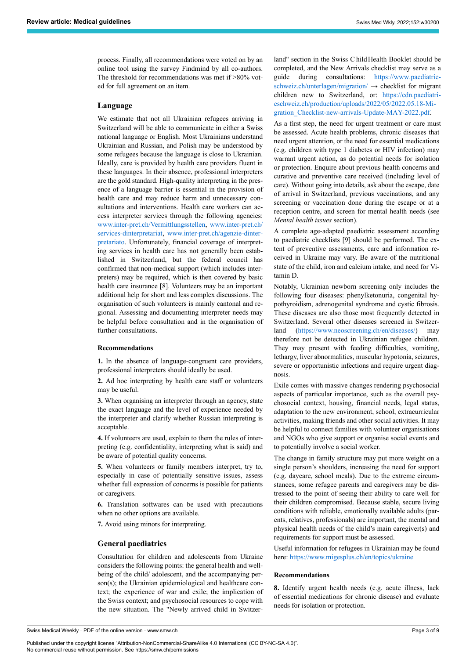process. Finally, all recommendations were voted on by an online tool using the survey Findmind by all co-authors. The threshold for recommendations was met if >80% voted for full agreement on an item.

# **Language**

We estimate that not all Ukrainian refugees arriving in Switzerland will be able to communicate in either a Swiss national language or English. Most Ukrainians understand Ukrainian and Russian, and Polish may be understood by some refugees because the language is close to Ukrainian. Ideally, care is provided by health care providers fluent in these languages. In their absence, professional interpreters are the gold standard. High-quality interpreting in the presence of a language barrier is essential in the provision of health care and may reduce harm and unnecessary consultations and interventions. Health care workers can access interpreter services through the following agencies: [www.inter-pret.ch/Vermittlungsstellen](https://www.inter-pret.ch/de/angebote/regionale-vermittlungsstellen_0-237.html), [www.inter-pret.ch/](https://www.inter-pret.ch/fr/angebote/services-dinterpretariat_0-237.html) [services-dinterpretariat,](https://www.inter-pret.ch/fr/angebote/services-dinterpretariat_0-237.html) [www.inter-pret.ch/agenzie-dinter](https://www.inter-pret.ch/it/angebote/agenzie-dinterpretariato_1-237.html)[pretariato](https://www.inter-pret.ch/it/angebote/agenzie-dinterpretariato_1-237.html). Unfortunately, financial coverage of interpreting services in health care has not generally been established in Switzerland, but the federal council has confirmed that non-medical support (which includes interpreters) may be required, which is then covered by basic health care insurance [8]. Volunteers may be an important additional help for short and less complex discussions. The organisation of such volunteers is mainly cantonal and regional. Assessing and documenting interpreter needs may be helpful before consultation and in the organisation of further consultations.

# **Recommendations**

**1.** In the absence of language-congruent care providers, professional interpreters should ideally be used.

**2.** Ad hoc interpreting by health care staff or volunteers may be useful.

**3.** When organising an interpreter through an agency, state the exact language and the level of experience needed by the interpreter and clarify whether Russian interpreting is acceptable.

**4.** If volunteers are used, explain to them the rules of interpreting (e.g. confidentiality, interpreting what is said) and be aware of potential quality concerns.

**5.** When volunteers or family members interpret, try to, especially in case of potentially sensitive issues, assess whether full expression of concerns is possible for patients or caregivers.

**6.** Translation softwares can be used with precautions when no other options are available.

**7.** Avoid using minors for interpreting.

# **General paediatrics**

Consultation for children and adolescents from Ukraine considers the following points: the general health and wellbeing of the child/ adolescent, and the accompanying person(s); the Ukrainian epidemiological and healthcare context; the experience of war and exile; the implication of the Swiss context; and psychosocial resources to cope with the new situation. The "Newly arrived child in Switzerland" section in the Swiss Child Health Booklet should be completed, and the New Arrivals checklist may serve as a guide during consultations: [https://www.paediatri](https://www.paediatrieschweiz.ch/unterlagen/migration/)e[schweiz.ch/unterlagen/migration/](https://www.paediatrieschweiz.ch/unterlagen/migration/) → checklist for migrant children new to Switzerland, or: [https://cdn.paediatri](https://cdn.paediatrieschweiz.ch/production/uploads/2020/06/2019.05.29-Migration_Checklist-new-arrivals.pdf)[eschweiz.ch/production/uploads/2022/05/2022.05.18-Mi](https://cdn.paediatrieschweiz.ch/production/uploads/2020/06/2019.05.29-Migration_Checklist-new-arrivals.pdf)[gration\\_Checklist-new-arrivals-Update-MAY-2022.pdf](https://cdn.paediatrieschweiz.ch/production/uploads/2020/06/2019.05.29-Migration_Checklist-new-arrivals.pdf).

As a first step, the need for urgent treatment or care must be assessed. Acute health problems, chronic diseases that need urgent attention, or the need for essential medications (e.g. children with type 1 diabetes or HIV infection) may warrant urgent action, as do potential needs for isolation or protection. Enquire about previous health concerns and curative and preventive care received (including level of care). Without going into details, ask about the escape, date of arrival in Switzerland, previous vaccinations, and any screening or vaccination done during the escape or at a reception centre, and screen for mental health needs (see *Mental health issues* section).

A complete age-adapted paediatric assessment according to paediatric checklists [9] should be performed. The extent of preventive assessments, care and information received in Ukraine may vary. Be aware of the nutritional state of the child, iron and calcium intake, and need for Vitamin D.

Notably, Ukrainian newborn screening only includes the following four diseases: phenylketonuria, congenital hypothyroidism, adrenogenital syndrome and cystic fibrosis. These diseases are also those most frequently detected in Switzerland. Several other diseases screened in Switzerland ([https://www.neoscreening.ch/en/diseases/\)](https://www.neoscreening.ch/en/diseases/) may therefore not be detected in Ukrainian refugee children. They may present with feeding difficulties, vomiting, lethargy, liver abnormalities, muscular hypotonia, seizures, severe or opportunistic infections and require urgent diagnosis.

Exile comes with massive changes rendering psychosocial aspects of particular importance, such as the overall psychosocial context, housing, financial needs, legal status, adaptation to the new environment, school, extracurricular activities, making friends and other social activities. It may be helpful to connect families with volunteer organisations and NGOs who give support or organise social events and to potentially involve a social worker.

The change in family structure may put more weight on a single person's shoulders, increasing the need for support (e.g. daycare, school meals). Due to the extreme circumstances, some refugee parents and caregivers may be distressed to the point of seeing their ability to care well for their children compromised. Because stable, secure living conditions with reliable, emotionally available adults (parents, relatives, professionals) are important, the mental and physical health needs of the child's main caregiver(s) and requirements for support must be assessed.

Useful information for refugees in Ukrainian may be found here: <https://www.migesplus.ch/en/topics/ukraine>

# **Recommendations**

**8.** Identify urgent health needs (e.g. acute illness, lack of essential medications for chronic disease) and evaluate needs for isolation or protection.

Swiss Medical Weekly · PDF of the online version · www.smw.ch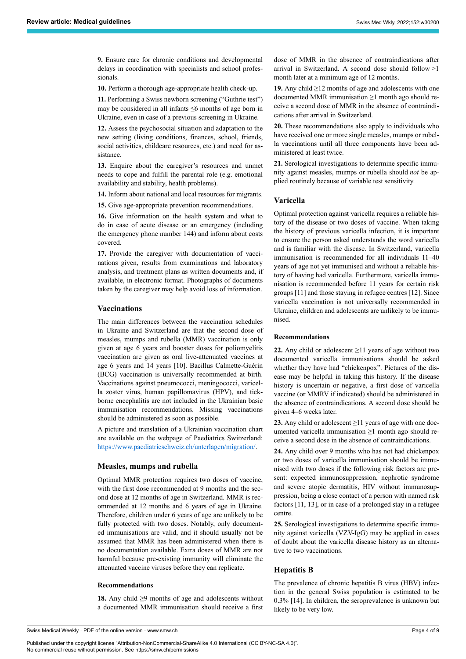**9.** Ensure care for chronic conditions and developmental delays in coordination with specialists and school professionals.

**10.** Perform a thorough age-appropriate health check-up.

**11.** Performing a Swiss newborn screening ("Guthrie test") may be considered in all infants ≤6 months of age born in Ukraine, even in case of a previous screening in Ukraine.

**12.** Assess the psychosocial situation and adaptation to the new setting (living conditions, finances, school, friends, social activities, childcare resources, etc.) and need for assistance.

**13.** Enquire about the caregiver's resources and unmet needs to cope and fulfill the parental role (e.g. emotional availability and stability, health problems).

**14.** Inform about national and local resources for migrants.

**15.** Give age-appropriate prevention recommendations.

**16.** Give information on the health system and what to do in case of acute disease or an emergency (including the emergency phone number 144) and inform about costs covered.

**17.** Provide the caregiver with documentation of vaccinations given, results from examinations and laboratory analysis, and treatment plans as written documents and, if available, in electronic format. Photographs of documents taken by the caregiver may help avoid loss of information.

# **Vaccinations**

The main differences between the vaccination schedules in Ukraine and Switzerland are that the second dose of measles, mumps and rubella (MMR) vaccination is only given at age 6 years and booster doses for poliomyelitis vaccination are given as oral live-attenuated vaccines at age 6 years and 14 years [10]. Bacillus Calmette-Guérin (BCG) vaccination is universally recommended at birth. Vaccinations against pneumococci, meningococci, varicella zoster virus, human papillomavirus (HPV), and tickborne encephalitis are not included in the Ukrainian basic immunisation recommendations. Missing vaccinations should be administered as soon as possible.

A picture and translation of a Ukrainian vaccination chart are available on the webpage of Paediatrics Switzerland: [https://www.paediatrieschweiz.ch/unterlagen/migration/.](https://www.paediatrieschweiz.ch/unterlagen/migration/)

# **Measles, mumps and rubella**

Optimal MMR protection requires two doses of vaccine, with the first dose recommended at 9 months and the second dose at 12 months of age in Switzerland. MMR is recommended at 12 months and 6 years of age in Ukraine. Therefore, children under 6 years of age are unlikely to be fully protected with two doses. Notably, only documented immunisations are valid, and it should usually not be assumed that MMR has been administered when there is no documentation available. Extra doses of MMR are not harmful because pre-existing immunity will eliminate the attenuated vaccine viruses before they can replicate.

# **Recommendations**

**18.** Any child ≥9 months of age and adolescents without a documented MMR immunisation should receive a first dose of MMR in the absence of contraindications after arrival in Switzerland. A second dose should follow >1 month later at a minimum age of 12 months.

**19.** Any child ≥12 months of age and adolescents with one documented MMR immunisation ≥1 month ago should receive a second dose of MMR in the absence of contraindications after arrival in Switzerland.

**20.** These recommendations also apply to individuals who have received one or more single measles, mumps or rubella vaccinations until all three components have been administered at least twice.

**21.** Serological investigations to determine specific immunity against measles, mumps or rubella should *not* be applied routinely because of variable test sensitivity.

# **Varicella**

Optimal protection against varicella requires a reliable history of the disease or two doses of vaccine. When taking the history of previous varicella infection, it is important to ensure the person asked understands the word varicella and is familiar with the disease. In Switzerland, varicella immunisation is recommended for all individuals 11–40 years of age not yet immunised and without a reliable history of having had varicella. Furthermore, varicella immunisation is recommended before 11 years for certain risk groups [11] and those staying in refugee centres [12]. Since varicella vaccination is not universally recommended in Ukraine, children and adolescents are unlikely to be immunised.

# **Recommendations**

**22.** Any child or adolescent ≥11 years of age without two documented varicella immunisations should be asked whether they have had "chickenpox". Pictures of the disease may be helpful in taking this history. If the disease history is uncertain or negative, a first dose of varicella vaccine (or MMRV if indicated) should be administered in the absence of contraindications. A second dose should be given 4–6 weeks later.

**23.** Any child or adolescent ≥11 years of age with one documented varicella immunisation  $\geq 1$  month ago should receive a second dose in the absence of contraindications.

**24.** Any child over 9 months who has not had chickenpox or two doses of varicella immunisation should be immunised with two doses if the following risk factors are present: expected immunosuppression, nephrotic syndrome and severe atopic dermatitis, HIV without immunosuppression, being a close contact of a person with named risk factors [11, 13], or in case of a prolonged stay in a refugee centre.

**25.** Serological investigations to determine specific immunity against varicella (VZV-IgG) may be applied in cases of doubt about the varicella disease history as an alternative to two vaccinations.

# **Hepatitis B**

The prevalence of chronic hepatitis B virus (HBV) infection in the general Swiss population is estimated to be 0.3% [14]. In children, the seroprevalence is unknown but likely to be very low.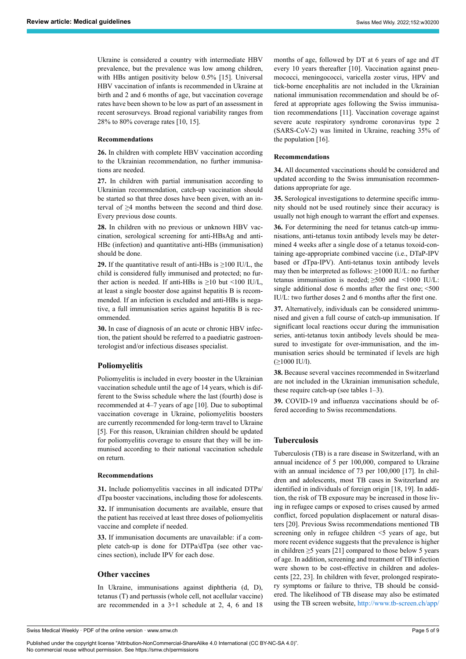Ukraine is considered a country with intermediate HBV prevalence, but the prevalence was low among children, with HBs antigen positivity below 0.5% [15]. Universal HBV vaccination of infants is recommended in Ukraine at birth and 2 and 6 months of age, but vaccination coverage rates have been shown to be low as part of an assessment in recent serosurveys. Broad regional variability ranges from 28% to 80% coverage rates [10, 15].

#### **Recommendations**

**26.** In children with complete HBV vaccination according to the Ukrainian recommendation, no further immunisations are needed.

**27.** In children with partial immunisation according to Ukrainian recommendation, catch-up vaccination should be started so that three doses have been given, with an interval of ≥4 months between the second and third dose. Every previous dose counts.

**28.** In children with no previous or unknown HBV vaccination, serological screening for anti-HBsAg and anti-HBc (infection) and quantitative anti-HBs (immunisation) should be done.

**29.** If the quantitative result of anti-HBs is  $\geq$ 100 IU/L, the child is considered fully immunised and protected; no further action is needed. If anti-HBs is  $\geq$ 10 but <100 IU/L, at least a single booster dose against hepatitis B is recommended. If an infection is excluded and anti-HBs is negative, a full immunisation series against hepatitis B is recommended.

**30.** In case of diagnosis of an acute or chronic HBV infection, the patient should be referred to a paediatric gastroenterologist and/or infectious diseases specialist.

# **Poliomyelitis**

Poliomyelitis is included in every booster in the Ukrainian vaccination schedule until the age of 14 years, which is different to the Swiss schedule where the last (fourth) dose is recommended at 4–7 years of age [10]. Due to suboptimal vaccination coverage in Ukraine, poliomyelitis boosters are currently recommended for long-term travel to Ukraine [5]. For this reason, Ukrainian children should be updated for poliomyelitis coverage to ensure that they will be immunised according to their national vaccination schedule on return.

#### **Recommendations**

**31.** Include poliomyelitis vaccines in all indicated DTPa/ dTpa booster vaccinations, including those for adolescents.

**32.** If immunisation documents are available, ensure that the patient has received at least three doses of poliomyelitis vaccine and complete if needed.

**33.** If immunisation documents are unavailable: if a complete catch-up is done for DTPa/dTpa (see other vaccines section), include IPV for each dose.

# **Other vaccines**

In Ukraine, immunisations against diphtheria (d, D), tetanus (T) and pertussis (whole cell, not acellular vaccine) are recommended in a 3+1 schedule at 2, 4, 6 and 18 months of age, followed by DT at 6 years of age and dT every 10 years thereafter [10]. Vaccination against pneumococci, meningococci, varicella zoster virus, HPV and tick-borne encephalitis are not included in the Ukrainian national immunisation recommendation and should be offered at appropriate ages following the Swiss immunisation recommendations [11]. Vaccination coverage against severe acute respiratory syndrome coronavirus type 2 (SARS-CoV-2) was limited in Ukraine, reaching 35% of the population [16].

#### **Recommendations**

**34.** All documented vaccinations should be considered and updated according to the Swiss immunisation recommendations appropriate for age.

**35.** Serological investigations to determine specific immunity should not be used routinely since their accuracy is usually not high enough to warrant the effort and expenses.

**36.** For determining the need for tetanus catch-up immunisations, anti-tetanus toxin antibody levels may be determined 4 weeks after a single dose of a tetanus toxoid-containing age-appropriate combined vaccine (i.e., DTaP-IPV based or dTpa-IPV). Anti-tetanus toxin antibody levels may then be interpreted as follows: ≥1000 IU/L: no further tetanus immunisation is needed; ≥500 and <1000 IU/L: single additional dose 6 months after the first one; <500 IU/L: two further doses 2 and 6 months after the first one.

**37.** Alternatively, individuals can be considered unimmunised and given a full course of catch-up immunisation. If significant local reactions occur during the immunisation series, anti-tetanus toxin antibody levels should be measured to investigate for over-immunisation, and the immunisation series should be terminated if levels are high  $(>1000$  IU/l).

**38.** Because several vaccines recommended in Switzerland are not included in the Ukrainian immunisation schedule, these require catch-up (see tables 1–3).

**39.** COVID-19 and influenza vaccinations should be offered according to Swiss recommendations.

#### **Tuberculosis**

Tuberculosis (TB) is a rare disease in Switzerland, with an annual incidence of 5 per 100,000, compared to Ukraine with an annual incidence of 73 per 100,000 [17]. In children and adolescents, most TB cases in Switzerland are identified in individuals of foreign origin [18, 19]. In addition, the risk of TB exposure may be increased in those living in refugee camps or exposed to crises caused by armed conflict, forced population displacement or natural disasters [20]. Previous Swiss recommendations mentioned TB screening only in refugee children <5 years of age, but more recent evidence suggests that the prevalence is higher in children ≥5 years [21] compared to those below 5 years of age. In addition, screening and treatment of TB infection were shown to be cost-effective in children and adolescents [22, 23]. In children with fever, prolonged respiratory symptoms or failure to thrive, TB should be considered. The likelihood of TB disease may also be estimated using the TB screen website, [http://www.tb-screen.ch/app/](http://www.tb-screen.ch/app/intro.php)

Swiss Medical Weekly · PDF of the online version · www.smw.ch

Published under the copyright license "Attribution-NonCommercial-ShareAlike 4.0 International (CC BY-NC-SA 4.0)". No commercial reuse without permission. See https://smw.ch/permissions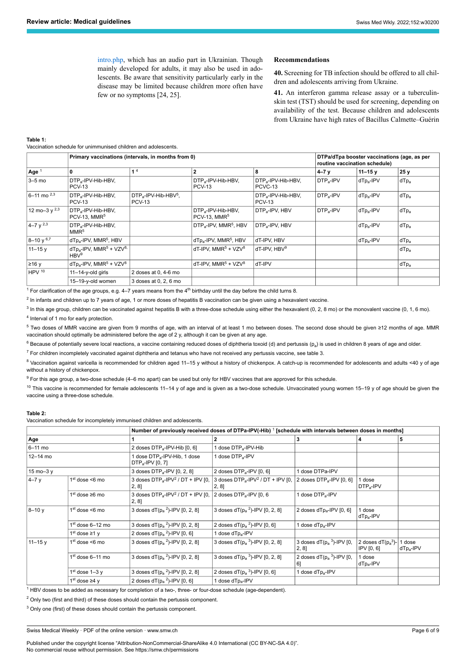[intro.php](http://www.tb-screen.ch/app/intro.php), which has an audio part in Ukrainian. Though mainly developed for adults, it may also be used in adolescents. Be aware that sensitivity particularly early in the disease may be limited because children more often have few or no symptoms [24, 25].

#### **Recommendations**

**40.** Screening for TB infection should be offered to all children and adolescents arriving from Ukraine.

**41.** An interferon gamma release assay or a tuberculinskin test (TST) should be used for screening, depending on availability of the test. Because children and adolescents from Ukraine have high rates of Bacillus Calmette–Guérin

#### **Table 1:**

Vaccination schedule for unimmunised children and adolescents.

|                      | Primary vaccinations (intervals, in months from 0)                     |                                                      |                                                            |                                                 | DTPa/dTpa booster vaccinations (age, as per<br>routine vaccination schedule) |                       |         |
|----------------------|------------------------------------------------------------------------|------------------------------------------------------|------------------------------------------------------------|-------------------------------------------------|------------------------------------------------------------------------------|-----------------------|---------|
| Age $1$              | 0                                                                      | 1 <sup>4</sup>                                       | $\overline{2}$                                             | 8                                               | $4 - 7y$                                                                     | $11 - 15$ y           | 25y     |
| $3-5$ mo             | DTP <sub>a</sub> -IPV-Hib-HBV,<br><b>PCV-13</b>                        |                                                      | DTP <sub>a</sub> -IPV-Hib-HBV,<br><b>PCV-13</b>            | DTP <sub>a</sub> -IPV-Hib-HBV,<br>PCVC-13       | $DTP_a$ -IPV                                                                 | dTp <sub>a</sub> -IPV | $dTp_a$ |
| $6 - 11$ mo $^{2,3}$ | DTP <sub>a</sub> -IPV-Hib-HBV,<br><b>PCV-13</b>                        | $DTP_a$ -IPV-Hib-HBV <sup>5</sup> ,<br><b>PCV-13</b> |                                                            | DTP <sub>a</sub> -IPV-Hib-HBV,<br><b>PCV-13</b> | $DTP_a-IPV$                                                                  | $dfp_a$ -IPV          | $dTp_a$ |
| 12 mo-3 y $^{2,3}$   | DTP <sub>a</sub> -IPV-Hib-HBV,<br>$PCV-13$ . MMR <sup>5</sup>          |                                                      | DTP <sub>a</sub> -IPV-Hib-HBV,<br>PCV-13, MMR <sup>5</sup> | DTP <sub>a</sub> -IPV, HBV                      | $DTP_a$ -IPV                                                                 | dTp <sub>a</sub> -IPV | $dTp_a$ |
| $4 - 7y^{2,3}$       | DTP <sub>a</sub> -IPV-Hib-HBV,<br>MMR <sup>5</sup>                     |                                                      | DTP <sub>a</sub> -IPV, MMR <sup>5</sup> , HBV              | DTP <sub>a</sub> -IPV, HBV                      |                                                                              | $dfp_a$ -IPV          | $dTp_a$ |
| $8 - 10y^{6,7}$      | dTp <sub>a</sub> -IPV, MMR <sup>5</sup> , HBV                          |                                                      | dTp <sub>a</sub> -IPV, MMR <sup>5</sup> , HBV              | dT-IPV, HBV                                     |                                                                              | dTp <sub>a</sub> -IPV | $dTp_a$ |
| $11 - 15$ y          | $dTp_a$ -IPV, MMR <sup>5</sup> + VZV <sup>8,</sup><br>HBV <sup>9</sup> |                                                      | $dT$ -IPV. MMR <sup>5</sup> + VZV <sup>8</sup>             | dT-IPV. HBV <sup>9</sup>                        |                                                                              |                       | $dTp_a$ |
| ≥16v                 | $dTp_a$ -IPV, MMR <sup>5</sup> + VZV <sup>8</sup>                      |                                                      | $dT$ -IPV. MMR <sup>5</sup> + VZV <sup>8</sup>             | dT-IPV                                          |                                                                              |                       | $dTp_a$ |
| HPV <sup>10</sup>    | $11 - 14 - y$ -old girls                                               | 2 doses at 0, 4-6 mo                                 |                                                            |                                                 |                                                                              |                       |         |
|                      | 15-19-y-old women                                                      | 3 doses at 0, 2, 6 mo                                |                                                            |                                                 |                                                                              |                       |         |

 $1$  For clarification of the age groups, e.g. 4–7 years means from the 4<sup>th</sup> birthday until the day before the child turns 8.

<sup>2</sup> In infants and children up to 7 years of age, 1 or more doses of hepatitis B vaccination can be given using a hexavalent vaccine.

 $^3$  In this age group, children can be vaccinated against hepatitis B with a three-dose schedule using either the hexavalent (0, 2, 8 mo) or the monovalent vaccine (0, 1, 6 mo). 4 Interval of 1 mo for early protection.

<sup>5</sup> Two doses of MMR vaccine are given from 9 months of age, with an interval of at least 1 mo between doses. The second dose should be given ≥12 months of age. MMR vaccination should optimally be administered before the age of 2 y, although it can be given at any age.

 $^6$  Because of potentially severe local reactions, a vaccine containing reduced doses of diphtheria toxoid (d) and pertussis (p<sub>a</sub>) is used in children 8 years of age and older.

 $7$  For children incompletely vaccinated against diphtheria and tetanus who have not received any pertussis vaccine, see table 3. 8 Vaccination against varicella is recommended for children aged 11-15 y without a history of chickenpox. A catch-up is recommended for adolescents and adults <40 y of age without a history of chickenpox.

9 For this age group, a two-dose schedule (4–6 mo apart) can be used but only for HBV vaccines that are approved for this schedule.

 $10$  This vaccine is recommended for female adolescents 11-14 y of age and is given as a two-dose schedule. Unvaccinated young women 15-19 y of age should be given the vaccine using a three-dose schedule.

#### **Table 2:**

Vaccination schedule for incompletely immunised children and adolescents.

|            |                           | Number of previously received doses of DTPa-IPV(-Hib) <sup>1</sup> [schedule with intervals between doses in months] |                                                                       |                                          |                                    |                        |
|------------|---------------------------|----------------------------------------------------------------------------------------------------------------------|-----------------------------------------------------------------------|------------------------------------------|------------------------------------|------------------------|
| Age        |                           |                                                                                                                      | 2                                                                     | з                                        | 4                                  | 5                      |
| $6-11$ mo  |                           | 2 doses DTP <sub>a</sub> -IPV-Hib [0, 6]                                                                             | 1 dose DTP <sub>a</sub> -IPV-Hib                                      |                                          |                                    |                        |
| 12-14 mo   |                           | 1 dose DTP <sub>a</sub> -IPV-Hib, 1 dose<br>$DTP_a$ -IPV [0, 7]                                                      | 1 dose DTP <sub>a</sub> -IPV                                          |                                          |                                    |                        |
| 15 mo-3 y  |                           | 3 doses DTP <sub>a</sub> -IPV [0, 2, 8]                                                                              | 2 doses DTP <sub>a</sub> -IPV [0, 6]                                  | 1 dose DTPa-IPV                          |                                    |                        |
| $4-7y$     | $1st$ dose <6 mo          | 3 doses DTP <sub>a</sub> -IPV <sup>2</sup> / DT + IPV [0,<br>[2, 8]                                                  | 3 doses DTP <sub>a</sub> -IPV <sup>2</sup> / DT + IPV [0,<br>$2, 8$ ] | 2 doses $DTP_a$ -IPV [0, 6]              | I dose<br>$DTP_a$ -IPV             |                        |
|            | $1st$ dose $\geq 6$ mo    | 3 doses DTP <sub>a</sub> -IPV <sup>2</sup> / DT + IPV [0,<br>2, 8]                                                   | 2 doses DTP <sub>a</sub> -IPV [0, 6                                   | 1 dose DTP <sub>a</sub> -IPV             |                                    |                        |
| $8 - 10y$  | $1st$ dose <6 mo          | 3 doses $dT(p_a^2)$ -IPV [0, 2, 8]                                                                                   | 3 doses $dT(p_a^2)$ -IPV [0, 2, 8]                                    | 2 doses dTp <sub>a</sub> -IPV [0, 6]     | I dose<br>$dTp_a-IPV$              |                        |
|            | $1st$ dose 6-12 mo        | 3 doses $dT(p_a^2)$ -IPV [0, 2, 8]                                                                                   | 2 doses $dT(p_a^2)$ -IPV [0, 6]                                       | 1 dose dTp <sub>a</sub> -IPV             |                                    |                        |
|            | 1 <sup>st</sup> dose ≥1 y | 2 doses $dT(p_a^2)$ -IPV [0, 6]                                                                                      | 1 dose dTp <sub>a</sub> -IPV                                          |                                          |                                    |                        |
| $11 - 15y$ | $1st$ dose <6 mo          | 3 doses $dT(p_a^2)$ -IPV [0, 2, 8]                                                                                   | 3 doses $dT(p_a^3)$ -IPV [0, 2, 8]                                    | 3 doses $dT(p_a^3)$ -IPV [0,<br>$2, 8$ ] | 2 doses $dT(p_a^3)$ -<br>IPV[0, 6] | 1 dose<br>$dTp_a$ -IPV |
|            | $1st$ dose 6-11 mo        | 3 doses $dT(p_a^2)$ -IPV [0, 2, 8]                                                                                   | 3 doses $dT(p_a^3)$ -IPV [0, 2, 8]                                    | 2 doses $dT(p_a^3)$ -IPV [0,<br>61       | 1 dose<br>$dTp_a-lPV$              |                        |
|            | $1st$ dose $1-3y$         | 3 doses $dT(p_a^2)$ -IPV [0, 2, 8]                                                                                   | 2 doses $dT(p_a^3)$ -IPV [0, 6]                                       | 1 dose dTp <sub>a</sub> -IPV             |                                    |                        |
|            | 1 <sup>st</sup> dose ≥4 y | 2 doses $dT(p_a^2)$ -IPV [0, 6]                                                                                      | 1 dose dTp <sub>a</sub> -IPV                                          |                                          |                                    |                        |

<sup>1</sup> HBV doses to be added as necessary for completion of a two-, three- or four-dose schedule (age-dependent).

 $2$  Only two (first and third) of these doses should contain the pertussis component.

<sup>3</sup> Only one (first) of these doses should contain the pertussis component.

Swiss Medical Weekly · PDF of the online version · www.smw.ch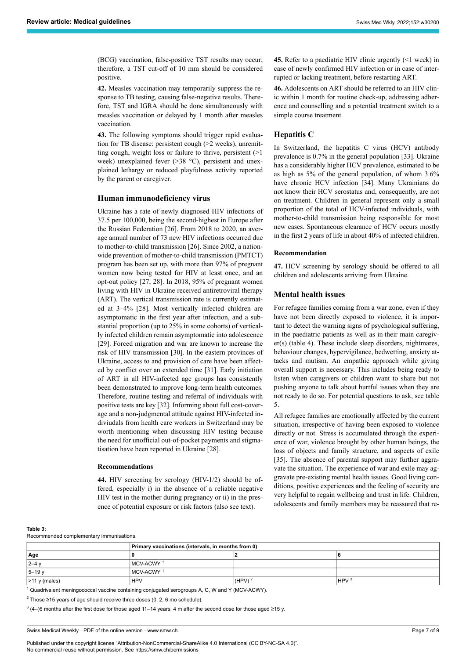(BCG) vaccination, false-positive TST results may occur; therefore, a TST cut-off of 10 mm should be considered positive.

**42.** Measles vaccination may temporarily suppress the response to TB testing, causing false-negative results. Therefore, TST and IGRA should be done simultaneously with measles vaccination or delayed by 1 month after measles vaccination.

**43.** The following symptoms should trigger rapid evaluation for TB disease: persistent cough (>2 weeks), unremitting cough, weight loss or failure to thrive, persistent (>1 week) unexplained fever (>38 °C), persistent and unexplained lethargy or reduced playfulness activity reported by the parent or caregiver.

# **Human immunodeficiency virus**

Ukraine has a rate of newly diagnosed HIV infections of 37.5 per 100,000, being the second-highest in Europe after the Russian Federation [26]. From 2018 to 2020, an average annual number of 73 new HIV infections occurred due to mother-to-child transmission [26]. Since 2002, a nationwide prevention of mother-to-child transmission (PMTCT) program has been set up, with more than 97% of pregnant women now being tested for HIV at least once, and an opt-out policy [27, 28]. In 2018, 95% of pregnant women living with HIV in Ukraine received antiretroviral therapy (ART). The vertical transmission rate is currently estimated at 3–4% [28]. Most vertically infected children are asymptomatic in the first year after infection, and a substantial proportion (up to 25% in some cohorts) of vertically infected children remain asymptomatic into adolescence [29]. Forced migration and war are known to increase the risk of HIV transmission [30]. In the eastern provinces of Ukraine, access to and provision of care have been affected by conflict over an extended time [31]. Early initiation of ART in all HIV-infected age groups has consistently been demonstrated to improve long-term health outcomes. Therefore, routine testing and referral of individuals with positive tests are key [32]. Informing about full cost-coverage and a non-judgmental attitude against HIV-infected indiviudals from health care workers in Switzerland may be worth mentioning when discussing HIV testing because the need for unofficial out-of-pocket payments and stigmatisation have been reported in Ukraine [28].

# **Recommendations**

**44.** HIV screening by serology (HIV-1/2) should be offered, especially i) in the absence of a reliable negative HIV test in the mother during pregnancy or ii) in the presence of potential exposure or risk factors (also see text).

**45.** Refer to a paediatric HIV clinic urgently (<1 week) in case of newly confirmed HIV infection or in case of interrupted or lacking treatment, before restarting ART.

**46.** Adolescents on ART should be referred to an HIV clinic within 1 month for routine check-up, addressing adherence and counselling and a potential treatment switch to a simple course treatment.

# **Hepatitis C**

In Switzerland, the hepatitis C virus (HCV) antibody prevalence is 0.7% in the general population [33]. Ukraine has a considerably higher HCV prevalence, estimated to be as high as 5% of the general population, of whom 3.6% have chronic HCV infection [34]. Many Ukrainians do not know their HCV serostatus and, consequently, are not on treatment. Children in general represent only a small proportion of the total of HCV-infected individuals, with mother-to-child transmission being responsible for most new cases. Spontaneous clearance of HCV occurs mostly in the first 2 years of life in about 40% of infected children.

# **Recommendation**

**47.** HCV screening by serology should be offered to all children and adolescents arriving from Ukraine.

# **Mental health issues**

For refugee families coming from a war zone, even if they have not been directly exposed to violence, it is important to detect the warning signs of psychological suffering, in the paediatric patients as well as in their main caregiver(s) (table 4). These include sleep disorders, nightmares, behaviour changes, hypervigilance, bedwetting, anxiety attacks and mutism. An empathic approach while giving overall support is necessary. This includes being ready to listen when caregivers or children want to share but not pushing anyone to talk about hurtful issues when they are not ready to do so. For potential questions to ask, see table 5.

All refugee families are emotionally affected by the current situation, irrespective of having been exposed to violence directly or not. Stress is accumulated through the experience of war, violence brought by other human beings, the loss of objects and family structure, and aspects of exile [35]. The absence of parental support may further aggravate the situation. The experience of war and exile may aggravate pre-existing mental health issues. Good living conditions, positive experiences and the feeling of security are very helpful to regain wellbeing and trust in life. Children, adolescents and family members may be reassured that re-

#### **Table 3:**

Recommended complementary immunisations.

|                   | Primary vaccinations (intervals, in months from 0) |                      |                  |  |
|-------------------|----------------------------------------------------|----------------------|------------------|--|
| Age               |                                                    |                      |                  |  |
| $ 2 - 4$          | MCV-ACWY <sup>1</sup>                              |                      |                  |  |
| $5-19y$           | MCV-ACWY <sup>1</sup>                              |                      |                  |  |
| $ $ >11 y (males) | <b>HPV</b>                                         | $(HPV)$ <sup>2</sup> | HPV <sup>3</sup> |  |

<sup>1</sup> Quadrivalent meningococcal vaccine containing conjugated serogroups A, C, W and Y (MCV-ACWY).

<sup>2</sup> Those ≥15 years of age should receive three doses (0, 2, 6 mo schedule).

<sup>3</sup> (4–)6 months after the first dose for those aged 11–14 years; 4 m after the second dose for those aged ≥15 y.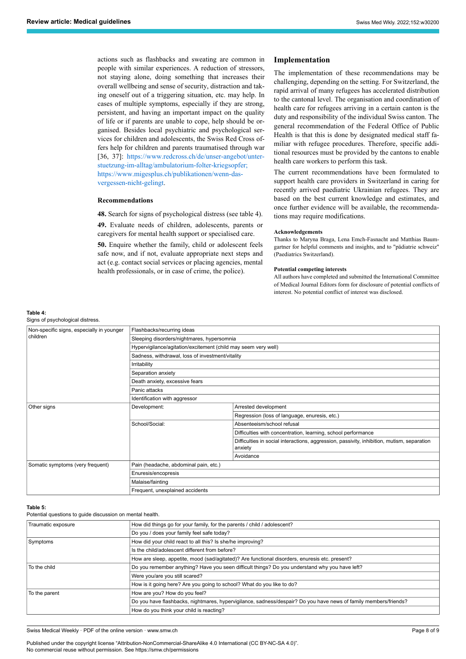actions such as flashbacks and sweating are common in people with similar experiences. A reduction of stressors, not staying alone, doing something that increases their overall wellbeing and sense of security, distraction and taking oneself out of a triggering situation, etc. may help. In cases of multiple symptoms, especially if they are strong, persistent, and having an important impact on the quality of life or if parents are unable to cope, help should be organised. Besides local psychiatric and psychological services for children and adolescents, the Swiss Red Cross offers help for children and parents traumatised through war [36, 37]: [https://www.redcross.ch/de/unser-angebot/unter](https://www.redcross.ch/de/unser-angebot/unterstuetzung-im-alltag/ambulatorium-folter-kriegsopfer)[stuetzung-im-alltag/ambulatorium-folter-krieg](https://www.redcross.ch/de/unser-angebot/unterstuetzung-im-alltag/ambulatorium-folter-kriegsopfer)sopfer; [https://www.migesplus.ch/publikationen/wenn-das](https://www.migesplus.ch/publikationen/wenn-das-vergessen-nicht-gelingt)vergessen-nicht-gelingt.

# **Recommendations**

**48.** Search for signs of psychological distress (see table 4). **49.** Evaluate needs of children, adolescents, parents or caregivers for mental health support or specialised care.

**50.** Enquire whether the family, child or adolescent feels safe now, and if not, evaluate appropriate next steps and act (e.g. contact social services or placing agencies, mental health professionals, or in case of crime, the police).

# **Implementation**

The implementation of these recommendations may be challenging, depending on the setting. For Switzerland, the rapid arrival of many refugees has accelerated distribution to the cantonal level. The organisation and coordination of health care for refugees arriving in a certain canton is the duty and responsibility of the individual Swiss canton. The general recommendation of the Federal Office of Public Health is that this is done by designated medical staff familiar with refugee procedures. Therefore, specific additional resources must be provided by the cantons to enable health care workers to perform this task.

The current recommendations have been formulated to support health care providers in Switzerland in caring for recently arrived paediatric Ukrainian refugees. They are based on the best current knowledge and estimates, and once further evidence will be available, the recommendations may require modifications.

#### **Acknowledgements**

Thanks to Maryna Braga, Lena Emch-Fasnacht and Matthias Baumgartner for helpful comments and insights, and to "pädiatrie schweiz" (Paediatrics Switzerland).

#### **Potential competing interests**

All authors have completed and submitted the International Committee of Medical Journal Editors form for disclosure of potential conflicts of interest. No potential conflict of interest was disclosed.

# **Table 4:**

Signs of psychological distress.

| Non-specific signs, especially in younger<br>children | Flashbacks/recurring ideas                                     |                                                                                                       |  |  |
|-------------------------------------------------------|----------------------------------------------------------------|-------------------------------------------------------------------------------------------------------|--|--|
|                                                       | Sleeping disorders/nightmares, hypersomnia                     |                                                                                                       |  |  |
|                                                       | Hypervigilance/agitation/excitement (child may seem very well) |                                                                                                       |  |  |
|                                                       | Sadness, withdrawal, loss of investment/vitality               |                                                                                                       |  |  |
|                                                       | Irritability                                                   |                                                                                                       |  |  |
|                                                       | Separation anxiety                                             |                                                                                                       |  |  |
|                                                       | Death anxiety, excessive fears                                 |                                                                                                       |  |  |
|                                                       | Panic attacks                                                  |                                                                                                       |  |  |
|                                                       | Identification with aggressor                                  |                                                                                                       |  |  |
| Other signs                                           | Development:                                                   | Arrested development                                                                                  |  |  |
|                                                       |                                                                | Regression (loss of language, enuresis, etc.)                                                         |  |  |
|                                                       | School/Social:                                                 | Absenteeism/school refusal                                                                            |  |  |
|                                                       |                                                                | Difficulties with concentration, learning, school performance                                         |  |  |
|                                                       |                                                                | Difficulties in social interactions, aggression, passivity, inhibition, mutism, separation<br>anxiety |  |  |
|                                                       |                                                                | Avoidance                                                                                             |  |  |
| Somatic symptoms (very frequent)                      | Pain (headache, abdominal pain, etc.)                          |                                                                                                       |  |  |
|                                                       | Enuresis/encopresis                                            |                                                                                                       |  |  |
|                                                       | Malaise/fainting                                               |                                                                                                       |  |  |
|                                                       | Frequent, unexplained accidents                                |                                                                                                       |  |  |

#### **Table 5:**

Potential questions to guide discussion on mental health.

| Traumatic exposure | How did things go for your family, for the parents / child / adolescent?                                         |  |  |
|--------------------|------------------------------------------------------------------------------------------------------------------|--|--|
|                    | Do you / does your family feel safe today?                                                                       |  |  |
| Symptoms           | How did your child react to all this? Is she/he improving?                                                       |  |  |
|                    | Is the child/adolescent different from before?                                                                   |  |  |
|                    | How are sleep, appetite, mood (sad/agitated)? Are functional disorders, enuresis etc. present?                   |  |  |
| To the child       | Do you remember anything? Have you seen difficult things? Do you understand why you have left?                   |  |  |
|                    | Were you/are you still scared?                                                                                   |  |  |
|                    | How is it going here? Are you going to school? What do you like to do?                                           |  |  |
| To the parent      | How are you? How do you feel?                                                                                    |  |  |
|                    | Do you have flashbacks, nightmares, hypervigilance, sadness/despair? Do you have news of family members/friends? |  |  |
|                    | How do you think your child is reacting?                                                                         |  |  |

Swiss Medical Weekly · PDF of the online version · www.smw.ch